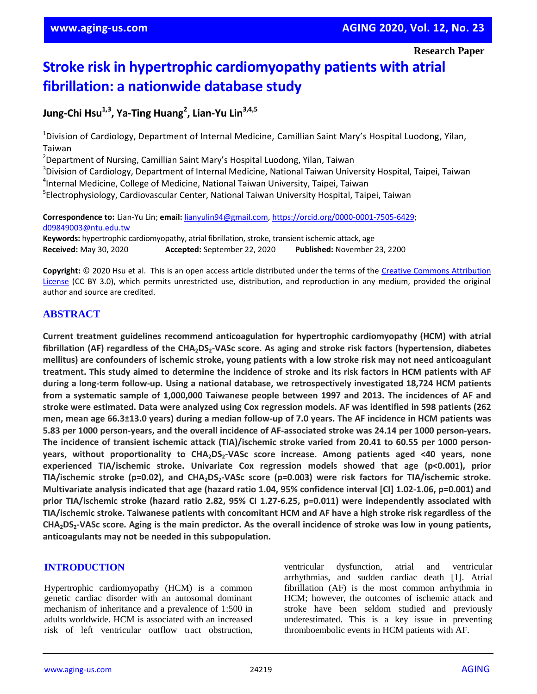**Research Paper**

# **Stroke risk in hypertrophic cardiomyopathy patients with atrial fibrillation: a nationwide database study**

**Jung-Chi Hsu1,3 , Ya-Ting Huang<sup>2</sup> , Lian-Yu Lin3,4,5**

<sup>1</sup>Division of Cardiology, Department of Internal Medicine, Camillian Saint Mary's Hospital Luodong, Yilan, Taiwan

<sup>2</sup>Department of Nursing, Camillian Saint Mary's Hospital Luodong, Yilan, Taiwan

<sup>3</sup>Division of Cardiology, Department of Internal Medicine, National Taiwan University Hospital, Taipei, Taiwan 4 Internal Medicine, College of Medicine, National Taiwan University, Taipei, Taiwan 5 Electrophysiology, Cardiovascular Center, National Taiwan University Hospital, Taipei, Taiwan

**Correspondence to:** Lian-Yu Lin; **email:** lianyulin94@gmail.com, https://orcid.org/0000-0001-7505-6429; d09849003@ntu.edu.tw **Keywords:** hypertrophic cardiomyopathy, atrial fibrillation, stroke, transient ischemic attack, age **Received:** May 30, 2020 **Accepted:** September 22, 2020 **Published:** November 23, 2200

**Copyright:** © 2020 Hsu et al. This is an open access article distributed under the terms of the Creative Commons Attribution License (CC BY 3.0), which permits unrestricted use, distribution, and reproduction in any medium, provided the original author and source are credited.

## **ABSTRACT**

**Current treatment guidelines recommend anticoagulation for hypertrophic cardiomyopathy (HCM) with atrial** fibrillation (AF) regardless of the CHA<sub>2</sub>DS<sub>2</sub>-VASc score. As aging and stroke risk factors (hypertension, diabetes mellitus) are confounders of ischemic stroke, young patients with a low stroke risk may not need anticoagulant treatment. This study aimed to determine the incidence of stroke and its risk factors in HCM patients with AF **during a long-term follow-up. Using a national database, we retrospectively investigated 18,724 HCM patients from a systematic sample of 1,000,000 Taiwanese people between 1997 and 2013. The incidences of AF and** stroke were estimated. Data were analyzed using Cox regression models. AF was identified in 598 patients (262) men, mean age 66.3±13.0 years) during a median follow-up of 7.0 years. The AF incidence in HCM patients was **5.83 per 1000 person-years, and the overall incidence of AF-associated stroke was 24.14 per 1000 person-years. The incidence of transient ischemic attack (TIA)/ischemic stroke varied from 20.41 to 60.55 per 1000 personyears, without proportionality to CHA2DS2-VASc score increase. Among patients aged <40 years, none experienced TIA/ischemic stroke. Univariate Cox regression models showed that age (p<0.001), prior TIA/ischemic stroke (p=0.02), and CHA2DS2-VASc score (p=0.003) were risk factors for TIA/ischemic stroke. Multivariate analysis indicated that age (hazard ratio 1.04, 95% confidence interval [CI] 1.02-1.06, p=0.001) and prior TIA/ischemic stroke (hazard ratio 2.82, 95% CI 1.27-6.25, p=0.011) were independently associated with** TIA/ischemic stroke. Taiwanese patients with concomitant HCM and AF have a high stroke risk regardless of the CHA<sub>2</sub>DS<sub>2</sub>-VASc score. Aging is the main predictor. As the overall incidence of stroke was low in young patients, **anticoagulants may not be needed in this subpopulation.**

#### **INTRODUCTION**

Hypertrophic cardiomyopathy (HCM) is a common genetic cardiac disorder with an autosomal dominant mechanism of inheritance and a prevalence of 1:500 in adults worldwide. HCM is associated with an increased risk of left ventricular outflow tract obstruction,

ventricular dysfunction, atrial and ventricular arrhythmias, and sudden cardiac death [1]. Atrial fibrillation (AF) is the most common arrhythmia in HCM; however, the outcomes of ischemic attack and stroke have been seldom studied and previously underestimated. This is a key issue in preventing thromboembolic events in HCM patients with AF.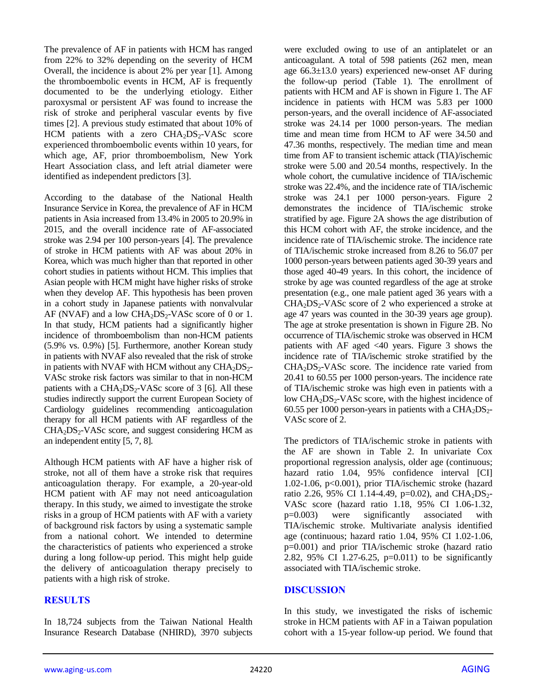The prevalence of AF in patients with HCM has ranged from 22% to 32% depending on the severity of HCM Overall, the incidence is about 2% per year [1]. Among the thromboembolic events in HCM, AF is frequently documented to be the underlying etiology. Either paroxysmal or persistent AF was found to increase the risk of stroke and peripheral vascular events by five times [2]. A previous study estimated that about 10% of HCM patients with a zero  $CHA<sub>2</sub>DS<sub>2</sub>-VASc$  score experienced thromboembolic events within 10 years, for which age, AF, prior thromboembolism, New York Heart Association class, and left atrial diameter were identified as independent predictors [3].

According to the database of the National Health Insurance Service in Korea, the prevalence of AF in HCM patients in Asia increased from 13.4% in 2005 to 20.9% in 2015, and the overall incidence rate of AF-associated stroke was 2.94 per 100 person-years [4]. The prevalence of stroke in HCM patients with AF was about 20% in Korea, which was much higher than that reported in other cohort studies in patients without HCM. This implies that Asian people with HCM might have higher risks of stroke when they develop AF. This hypothesis has been proven in a cohort study in Japanese patients with nonvalvular AF (NVAF) and a low  $CHA<sub>2</sub>DS<sub>2</sub>$ -VASc score of 0 or 1. In that study, HCM patients had a significantly higher incidence of thromboembolism than non-HCM patients (5.9% vs. 0.9%) [5]. Furthermore, another Korean study in patients with NVAF also revealed that the risk of stroke in patients with NVAF with HCM without any  $CHA<sub>2</sub>DS<sub>2</sub>$ -VASc stroke risk factors was similar to that in non-HCM patients with a  $CHA<sub>2</sub>DS<sub>2</sub>-VASc$  score of 3 [6]. All these studies indirectly support the current European Society of Cardiology guidelines recommending anticoagulation therapy for all HCM patients with AF regardless of the  $CHA<sub>2</sub>DS<sub>2</sub>-VASc score, and suggest considering HCM as$ an independent entity [5, 7, 8].

Although HCM patients with AF have a higher risk of stroke, not all of them have a stroke risk that requires anticoagulation therapy. For example, a 20-year-old HCM patient with AF may not need anticoagulation therapy. In this study, we aimed to investigate the stroke risks in a group of HCM patients with AF with a variety of background risk factors by using a systematic sample from a national cohort. We intended to determine the characteristics of patients who experienced a stroke during a long follow-up period. This might help guide the delivery of anticoagulation therapy precisely to patients with a high risk of stroke.

## **RESULTS**

In 18,724 subjects from the Taiwan National Health Insurance Research Database (NHIRD), 3970 subjects were excluded owing to use of an antiplatelet or an anticoagulant. A total of 598 patients (262 men, mean age 66.3±13.0 years) experienced new-onset AF during the follow-up period (Table 1). The enrollment of patients with HCM and AF is shown in Figure 1. The AF incidence in patients with HCM was 5.83 per 1000 person-years, and the overall incidence of AF-associated stroke was 24.14 per 1000 person-years. The median time and mean time from HCM to AF were 34.50 and 47.36 months, respectively. The median time and mean time from AF to transient ischemic attack (TIA)/ischemic stroke were 5.00 and 20.54 months, respectively. In the whole cohort, the cumulative incidence of TIA/ischemic stroke was 22.4%, and the incidence rate of TIA/ischemic stroke was 24.1 per 1000 person-years. Figure 2 demonstrates the incidence of TIA/ischemic stroke stratified by age. Figure 2A shows the age distribution of this HCM cohort with AF, the stroke incidence, and the incidence rate of TIA/ischemic stroke. The incidence rate of TIA/ischemic stroke increased from 8.26 to 56.07 per 1000 person-years between patients aged 30-39 years and those aged 40-49 years. In this cohort, the incidence of stroke by age was counted regardless of the age at stroke presentation (e.g., one male patient aged 36 years with a  $CHA<sub>2</sub>DS<sub>2</sub>-VASc score of 2 who experienced a stroke at$ age 47 years was counted in the 30-39 years age group). The age at stroke presentation is shown in Figure 2B. No occurrence of TIA/ischemic stroke was observed in HCM patients with AF aged <40 years. Figure 3 shows the incidence rate of TIA/ischemic stroke stratified by the  $CHA<sub>2</sub>DS<sub>2</sub>-VASc score.$  The incidence rate varied from 20.41 to 60.55 per 1000 person-years. The incidence rate of TIA/ischemic stroke was high even in patients with a low  $CHA<sub>2</sub>DS<sub>2</sub>-VASc$  score, with the highest incidence of 60.55 per 1000 person-years in patients with a  $CHA<sub>2</sub>DS<sub>2</sub>$ -VASc score of 2.

The predictors of TIA/ischemic stroke in patients with the AF are shown in Table 2. In univariate Cox proportional regression analysis, older age (continuous; hazard ratio 1.04, 95% confidence interval [CI] 1.02-1.06, p<0.001), prior TIA/ischemic stroke (hazard ratio 2.26, 95% CI 1.14-4.49, p=0.02), and CHA<sub>2</sub>DS<sub>2</sub>-VASc score (hazard ratio 1.18, 95% CI 1.06-1.32, p=0.003) were significantly associated with TIA/ischemic stroke. Multivariate analysis identified age (continuous; hazard ratio 1.04, 95% CI 1.02-1.06, p=0.001) and prior TIA/ischemic stroke (hazard ratio 2.82, 95% CI 1.27-6.25, p=0.011) to be significantly associated with TIA/ischemic stroke.

#### **DISCUSSION**

In this study, we investigated the risks of ischemic stroke in HCM patients with AF in a Taiwan population cohort with a 15-year follow-up period. We found that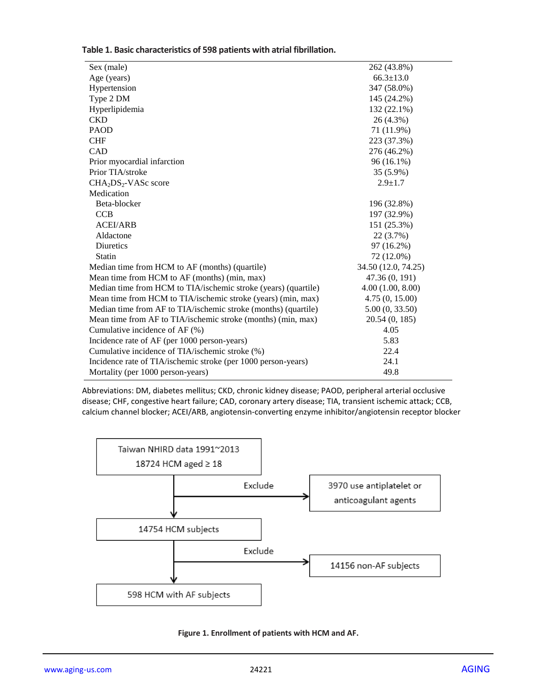| Sex (male)                                                            | 262 (43.8%)         |  |
|-----------------------------------------------------------------------|---------------------|--|
| Age (years)                                                           | $66.3 \pm 13.0$     |  |
| Hypertension                                                          | 347 (58.0%)         |  |
| Type 2 DM                                                             | 145 (24.2%)         |  |
| Hyperlipidemia                                                        | 132 (22.1%)         |  |
| <b>CKD</b>                                                            | 26 (4.3%)           |  |
| <b>PAOD</b>                                                           | 71 (11.9%)          |  |
| <b>CHF</b>                                                            | 223 (37.3%)         |  |
| CAD                                                                   | 276 (46.2%)         |  |
| Prior myocardial infarction                                           | 96 (16.1%)          |  |
| Prior TIA/stroke                                                      | 35 (5.9%)           |  |
| $CHA2DS2-VASc score$                                                  | $2.9 \pm 1.7$       |  |
| Medication                                                            |                     |  |
| Beta-blocker                                                          | 196 (32.8%)         |  |
| <b>CCB</b>                                                            | 197 (32.9%)         |  |
| <b>ACEI/ARB</b>                                                       | 151 (25.3%)         |  |
| Aldactone                                                             | 22 (3.7%)           |  |
| <b>Diuretics</b>                                                      | 97 (16.2%)          |  |
| <b>Statin</b>                                                         | 72 (12.0%)          |  |
| Median time from HCM to AF (months) (quartile)                        | 34.50 (12.0, 74.25) |  |
| Mean time from HCM to AF (months) (min, max)                          | 47.36 (0, 191)      |  |
| Median time from HCM to TIA/ischemic stroke (years) (quartile)        | 4.00(1.00, 8.00)    |  |
| Mean time from HCM to TIA/ischemic stroke (years) (min, max)          | 4.75(0, 15.00)      |  |
| Median time from AF to TIA/ischemic stroke (months) (quartile)        | 5.00(0, 33.50)      |  |
| Mean time from AF to TIA/ischemic stroke (months) (min, max)          | 20.54 (0, 185)      |  |
| Cumulative incidence of AF (%)                                        | 4.05                |  |
| Incidence rate of AF (per 1000 person-years)                          | 5.83                |  |
| Cumulative incidence of TIA/ischemic stroke (%)                       | 22.4                |  |
| Incidence rate of TIA/ischemic stroke (per 1000 person-years)<br>24.1 |                     |  |
| Mortality (per 1000 person-years)                                     | 49.8                |  |

**Table 1. Basic characteristics of 598 patients with atrial fibrillation.**

Abbreviations: DM, diabetes mellitus; CKD, chronic kidney disease; PAOD, peripheral arterial occlusive disease; CHF, congestive heart failure; CAD, coronary artery disease; TIA, transient ischemic attack; CCB, calcium channel blocker; ACEI/ARB, angiotensin-converting enzyme inhibitor/angiotensin receptor blocker



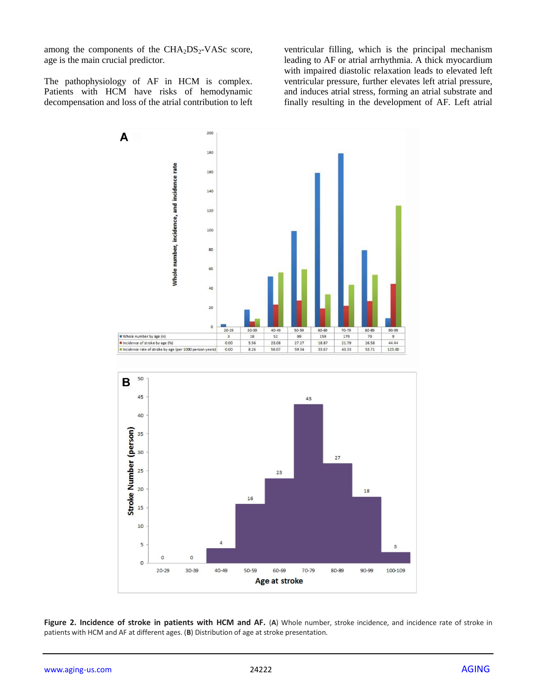among the components of the  $CHA<sub>2</sub>DS<sub>2</sub>-VASc$  score, age is the main crucial predictor.

The pathophysiology of AF in HCM is complex. Patients with HCM have risks of hemodynamic decompensation and loss of the atrial contribution to left ventricular filling, which is the principal mechanism leading to AF or atrial arrhythmia. A thick myocardium with impaired diastolic relaxation leads to elevated left ventricular pressure, further elevates left atrial pressure, and induces atrial stress, forming an atrial substrate and finally resulting in the development of AF. Left atrial



**Figure 2. Incidence of stroke in patients with HCM and AF. (A) Whole number, stroke incidence, and incidence rate of stroke in** patients with HCM and AF at different ages. (**B**) Distribution of age at stroke presentation.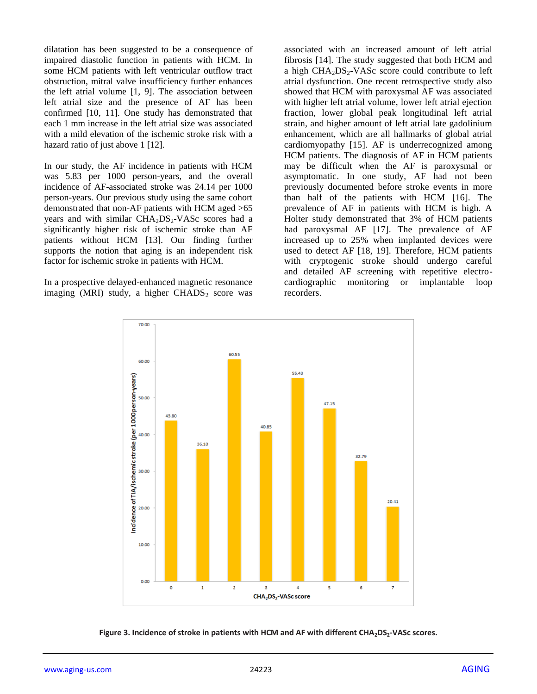dilatation has been suggested to be a consequence of impaired diastolic function in patients with HCM. In some HCM patients with left ventricular outflow tract obstruction, mitral valve insufficiency further enhances the left atrial volume [1, 9]. The association between left atrial size and the presence of AF has been confirmed [10, 11]. One study has demonstrated that each 1 mm increase in the left atrial size was associated with a mild elevation of the ischemic stroke risk with a hazard ratio of just above 1 [12].

In our study, the AF incidence in patients with HCM was 5.83 per 1000 person-years, and the overall incidence of AF-associated stroke was 24.14 per 1000 person-years. Our previous study using the same cohort demonstrated that non-AF patients with HCM aged >65 years and with similar  $CHA<sub>2</sub>DS<sub>2</sub>-VASc$  scores had a significantly higher risk of ischemic stroke than AF patients without HCM [13]. Our finding further supports the notion that aging is an independent risk factor for ischemic stroke in patients with HCM.

In a prospective delayed-enhanced magnetic resonance imaging (MRI) study, a higher  $CHADS<sub>2</sub>$  score was

associated with an increased amount of left atrial fibrosis [14]. The study suggested that both HCM and a high  $CHA<sub>2</sub>DS<sub>2</sub>-VASc$  score could contribute to left atrial dysfunction. One recent retrospective study also showed that HCM with paroxysmal AF was associated with higher left atrial volume, lower left atrial ejection fraction, lower global peak longitudinal left atrial strain, and higher amount of left atrial late gadolinium enhancement, which are all hallmarks of global atrial cardiomyopathy [15]. AF is underrecognized among HCM patients. The diagnosis of AF in HCM patients may be difficult when the AF is paroxysmal or asymptomatic. In one study, AF had not been previously documented before stroke events in more than half of the patients with HCM [16]. The prevalence of AF in patients with HCM is high. A Holter study demonstrated that 3% of HCM patients had paroxysmal AF [17]. The prevalence of AF increased up to 25% when implanted devices were used to detect AF [18, 19]. Therefore, HCM patients with cryptogenic stroke should undergo careful and detailed AF screening with repetitive electrocardiographic monitoring or implantable loop recorders.



**Figure 3. Incidence of stroke in patients with HCM and AF with different CHA2DS2-VASc scores.**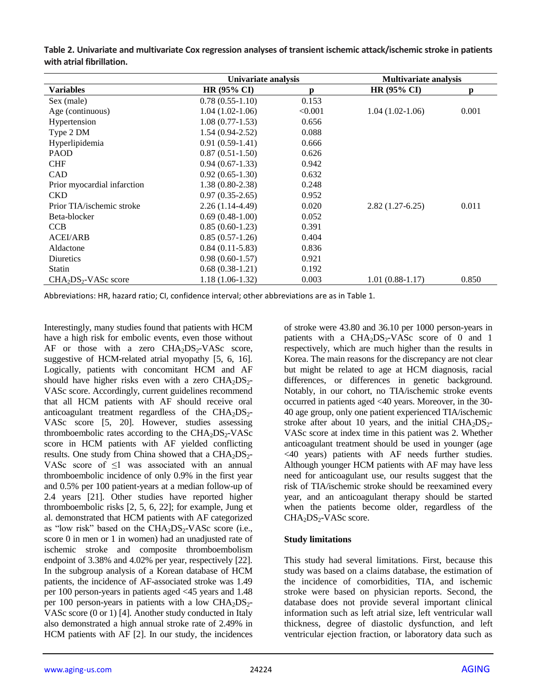|                             | Univariate analysis |         | <b>Multivariate analysis</b> |              |
|-----------------------------|---------------------|---------|------------------------------|--------------|
| <b>Variables</b>            | $HR (95\% CI)$      | p       | $HR(95\% CI)$                | $\mathbf{n}$ |
| Sex (male)                  | $0.78(0.55-1.10)$   | 0.153   |                              |              |
| Age (continuous)            | $1.04(1.02-1.06)$   | < 0.001 | $1.04(1.02-1.06)$            | 0.001        |
| Hypertension                | $1.08(0.77-1.53)$   | 0.656   |                              |              |
| Type 2 DM                   | $1.54(0.94-2.52)$   | 0.088   |                              |              |
| Hyperlipidemia              | $0.91(0.59-1.41)$   | 0.666   |                              |              |
| <b>PAOD</b>                 | $0.87(0.51-1.50)$   | 0.626   |                              |              |
| <b>CHF</b>                  | $0.94(0.67-1.33)$   | 0.942   |                              |              |
| <b>CAD</b>                  | $0.92(0.65-1.30)$   | 0.632   |                              |              |
| Prior myocardial infarction | $1.38(0.80-2.38)$   | 0.248   |                              |              |
| <b>CKD</b>                  | $0.97(0.35-2.65)$   | 0.952   |                              |              |
| Prior TIA/ischemic stroke   | $2.26(1.14-4.49)$   | 0.020   | $2.82(1.27-6.25)$            | 0.011        |
| Beta-blocker                | $0.69(0.48-1.00)$   | 0.052   |                              |              |
| <b>CCB</b>                  | $0.85(0.60-1.23)$   | 0.391   |                              |              |
| <b>ACEI/ARB</b>             | $0.85(0.57-1.26)$   | 0.404   |                              |              |
| Aldactone                   | $0.84(0.11-5.83)$   | 0.836   |                              |              |
| Diuretics                   | $0.98(0.60-1.57)$   | 0.921   |                              |              |
| <b>Statin</b>               | $0.68(0.38-1.21)$   | 0.192   |                              |              |
| $CHA2DS2 - VASc score$      | $1.18(1.06-1.32)$   | 0.003   | $1.01(0.88-1.17)$            | 0.850        |

**Table 2. Univariate and multivariate Cox regression analyses of transient ischemic attack/ischemic stroke in patients with atrial fibrillation.**

Abbreviations: HR, hazard ratio; CI, confidence interval; other abbreviations are as in Table 1.

Interestingly, many studies found that patients with HCM have a high risk for embolic events, even those without  $AF$  or those with a zero  $CHA<sub>2</sub>DS<sub>2</sub>-VASc$  score, suggestive of HCM-related atrial myopathy [5, 6, 16]. Logically, patients with concomitant HCM and AF should have higher risks even with a zero  $CHA<sub>2</sub>DS<sub>2</sub>$ -VASc score. Accordingly, current guidelines recommend that all HCM patients with AF should receive oral anticoagulant treatment regardless of the  $CHA<sub>2</sub>DS<sub>2</sub>$ -VASc score [5, 20]. However, studies assessing thromboembolic rates according to the  $CHA<sub>2</sub>DS<sub>2</sub>-VASc$ score in HCM patients with AF yielded conflicting results. One study from China showed that a  $CHA<sub>2</sub>DS<sub>2</sub>$ -VASc score of ≤1 was associated with an annual thromboembolic incidence of only 0.9% in the first year and 0.5% per 100 patient-years at a median follow-up of 2.4 years [21]. Other studies have reported higher thromboembolic risks [2, 5, 6, 22]; for example, Jung et al. demonstrated that HCM patients with AF categorized as "low risk" based on the  $CHA<sub>2</sub>DS<sub>2</sub>-VASc$  score (i.e., score 0 in men or 1 in women) had an unadjusted rate of ischemic stroke and composite thromboembolism endpoint of 3.38% and 4.02% per year, respectively [22]. In the subgroup analysis of a Korean database of HCM patients, the incidence of AF-associated stroke was 1.49 per 100 person-years in patients aged <45 years and 1.48 per 100 person-years in patients with a low  $CHA<sub>2</sub>DS<sub>2</sub>$ -VASc score (0 or 1) [4]. Another study conducted in Italy also demonstrated a high annual stroke rate of 2.49% in HCM patients with AF [2]. In our study, the incidences

of stroke were 43.80 and 36.10 per 1000 person-years in patients with a  $CHA<sub>2</sub>DS<sub>2</sub>-VASc$  score of 0 and 1 respectively, which are much higher than the results in Korea. The main reasons for the discrepancy are not clear but might be related to age at HCM diagnosis, racial differences, or differences in genetic background. Notably, in our cohort, no TIA/ischemic stroke events occurred in patients aged <40 years. Moreover, in the 30- 40 age group, only one patient experienced TIA/ischemic stroke after about 10 years, and the initial  $CHA<sub>2</sub>DS<sub>2</sub>$ -VASc score at index time in this patient was 2. Whether anticoagulant treatment should be used in younger (age <40 years) patients with AF needs further studies. Although younger HCM patients with AF may have less need for anticoagulant use, our results suggest that the risk of TIA/ischemic stroke should be reexamined every year, and an anticoagulant therapy should be started when the patients become older, regardless of the CHA<sub>2</sub>DS<sub>2</sub>-VASc score.

#### **Study limitations**

This study had several limitations. First, because this study was based on a claims database, the estimation of the incidence of comorbidities, TIA, and ischemic stroke were based on physician reports. Second, the database does not provide several important clinical information such as left atrial size, left ventricular wall thickness, degree of diastolic dysfunction, and left ventricular ejection fraction, or laboratory data such as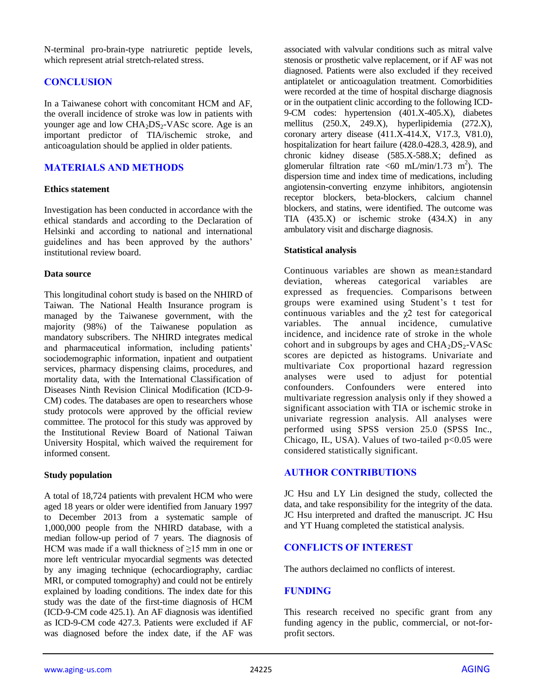N-terminal pro-brain-type natriuretic peptide levels, which represent atrial stretch-related stress.

# **CONCLUSION**

In a Taiwanese cohort with concomitant HCM and AF, the overall incidence of stroke was low in patients with younger age and low  $CHA<sub>2</sub>DS<sub>2</sub>-VASc$  score. Age is an important predictor of TIA/ischemic stroke, and anticoagulation should be applied in older patients.

## **MATERIALS AND METHODS**

#### **Ethics statement**

Investigation has been conducted in accordance with the ethical standards and according to the Declaration of Helsinki and according to national and international guidelines and has been approved by the authors' institutional review board.

#### **Data source**

This longitudinal cohort study is based on the NHIRD of Taiwan. The National Health Insurance program is managed by the Taiwanese government, with the majority (98%) of the Taiwanese population as mandatory subscribers. The NHIRD integrates medical and pharmaceutical information, including patients' sociodemographic information, inpatient and outpatient services, pharmacy dispensing claims, procedures, and mortality data, with the International Classification of Diseases Ninth Revision Clinical Modification (ICD-9- CM) codes. The databases are open to researchers whose study protocols were approved by the official review committee. The protocol for this study was approved by the Institutional Review Board of National Taiwan University Hospital, which waived the requirement for informed consent.

## **Study population**

A total of 18,724 patients with prevalent HCM who were aged 18 years or older were identified from January 1997 to December 2013 from a systematic sample of 1,000,000 people from the NHIRD database, with a median follow-up period of 7 years. The diagnosis of HCM was made if a wall thickness of  $\geq$ 15 mm in one or more left ventricular myocardial segments was detected by any imaging technique (echocardiography, cardiac MRI, or computed tomography) and could not be entirely explained by loading conditions. The index date for this study was the date of the first-time diagnosis of HCM (ICD-9-CM code 425.1). An AF diagnosis was identified as ICD-9-CM code 427.3. Patients were excluded if AF was diagnosed before the index date, if the AF was

associated with valvular conditions such as mitral valve stenosis or prosthetic valve replacement, or if AF was not diagnosed. Patients were also excluded if they received antiplatelet or anticoagulation treatment. Comorbidities were recorded at the time of hospital discharge diagnosis or in the outpatient clinic according to the following ICD-9-CM codes: hypertension (401.X-405.X), diabetes mellitus (250.X, 249.X), hyperlipidemia (272.X), coronary artery disease (411.X-414.X, V17.3, V81.0), hospitalization for heart failure (428.0-428.3, 428.9), and chronic kidney disease (585.X-588.X; defined as glomerular filtration rate <60 mL/min/1.73 m<sup>2</sup>). The dispersion time and index time of medications, including angiotensin-converting enzyme inhibitors, angiotensin receptor blockers, beta-blockers, calcium channel blockers, and statins, were identified. The outcome was TIA (435.X) or ischemic stroke (434.X) in any ambulatory visit and discharge diagnosis.

#### **Statistical analysis**

Continuous variables are shown as mean±standard deviation, whereas categorical variables are expressed as frequencies. Comparisons between groups were examined using Student's t test for continuous variables and the  $\chi$ 2 test for categorical variables. The annual incidence, cumulative incidence, and incidence rate of stroke in the whole cohort and in subgroups by ages and  $CHA<sub>2</sub>DS<sub>2</sub>-VASc$ scores are depicted as histograms. Univariate and multivariate Cox proportional hazard regression analyses were used to adjust for potential confounders. Confounders were entered into multivariate regression analysis only if they showed a significant association with TIA or ischemic stroke in univariate regression analysis. All analyses were performed using SPSS version 25.0 (SPSS Inc., Chicago, IL, USA). Values of two-tailed  $p<0.05$  were considered statistically significant.

## **AUTHOR CONTRIBUTIONS**

JC Hsu and LY Lin designed the study, collected the data, and take responsibility for the integrity of the data. JC Hsu interpreted and drafted the manuscript. JC Hsu and YT Huang completed the statistical analysis.

# **CONFLICTS OF INTEREST**

The authors declaimed no conflicts of interest.

## **FUNDING**

This research received no specific grant from any funding agency in the public, commercial, or not-forprofit sectors.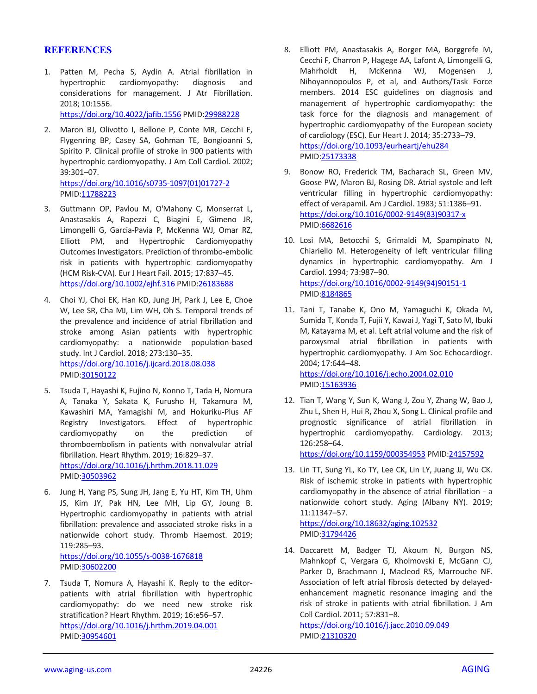#### **REFERENCES**

1. Patten M, Pecha S, Aydin A. Atrial fibrillation in hypertrophic cardiomyopathy: diagnosis and considerations for management. J Atr Fibrillation. 2018; 10:1556. <https://doi.org/10.4022/jafib.1556> PMID[:29988228](https://pubmed.ncbi.nlm.nih.gov/29988228)

2. Maron BJ, Olivotto I, Bellone P, Conte MR, Cecchi F, Flygenring BP, Casey SA, Gohman TE, Bongioanni S, Spirito P. Clinical profile of stroke in 900 patients with hypertrophic cardiomyopathy. J Am Coll Cardiol. 2002; 39:301–07.

[https://doi.org/10.1016/s0735-1097\(01\)01727-2](https://doi.org/10.1016/s0735-1097(01)01727-2) PMID[:11788223](https://pubmed.ncbi.nlm.nih.gov/11788223)

- 3. Guttmann OP, Pavlou M, O'Mahony C, Monserrat L, Anastasakis A, Rapezzi C, Biagini E, Gimeno JR, Limongelli G, Garcia-Pavia P, McKenna WJ, Omar RZ, Elliott PM, and Hypertrophic Cardiomyopathy Outcomes Investigators. Prediction of thrombo-embolic risk in patients with hypertrophic cardiomyopathy (HCM Risk-CVA). Eur J Heart Fail. 2015; 17:837–45. <https://doi.org/10.1002/ejhf.316> PMID[:26183688](https://pubmed.ncbi.nlm.nih.gov/26183688)
- 4. Choi YJ, Choi EK, Han KD, Jung JH, Park J, Lee E, Choe W, Lee SR, Cha MJ, Lim WH, Oh S. Temporal trends of the prevalence and incidence of atrial fibrillation and stroke among Asian patients with hypertrophic cardiomyopathy: a nationwide population-based study. Int J Cardiol. 2018; 273:130–35. <https://doi.org/10.1016/j.ijcard.2018.08.038> PMID[:30150122](https://pubmed.ncbi.nlm.nih.gov/30150122)
- 5. Tsuda T, Hayashi K, Fujino N, Konno T, Tada H, Nomura A, Tanaka Y, Sakata K, Furusho H, Takamura M, Kawashiri MA, Yamagishi M, and Hokuriku-Plus AF Registry Investigators. Effect of hypertrophic cardiomyopathy on the prediction of thromboembolism in patients with nonvalvular atrial fibrillation. Heart Rhythm. 2019; 16:829–37. <https://doi.org/10.1016/j.hrthm.2018.11.029> PMID[:30503962](https://pubmed.ncbi.nlm.nih.gov/30503962)
- 6. Jung H, Yang PS, Sung JH, Jang E, Yu HT, Kim TH, Uhm JS, Kim JY, Pak HN, Lee MH, Lip GY, Joung B. Hypertrophic cardiomyopathy in patients with atrial fibrillation: prevalence and associated stroke risks in a nationwide cohort study. Thromb Haemost. 2019; 119:285–93. <https://doi.org/10.1055/s-0038-1676818>

PMID[:30602200](https://pubmed.ncbi.nlm.nih.gov/30602200)

7. Tsuda T, Nomura A, Hayashi K. Reply to the editorpatients with atrial fibrillation with hypertrophic cardiomyopathy: do we need new stroke risk stratification? Heart Rhythm. 2019; 16:e56–57. <https://doi.org/10.1016/j.hrthm.2019.04.001> PMID[:30954601](https://pubmed.ncbi.nlm.nih.gov/30954601)

- 8. Elliott PM, Anastasakis A, Borger MA, Borggrefe M, Cecchi F, Charron P, Hagege AA, Lafont A, Limongelli G, Mahrholdt H, McKenna WJ, Mogensen J, Nihoyannopoulos P, et al, and Authors/Task Force members. 2014 ESC guidelines on diagnosis and management of hypertrophic cardiomyopathy: the task force for the diagnosis and management of hypertrophic cardiomyopathy of the European society of cardiology (ESC). Eur Heart J. 2014; 35:2733–79. <https://doi.org/10.1093/eurheartj/ehu284> PMI[D:25173338](https://pubmed.ncbi.nlm.nih.gov/25173338)
- 9. Bonow RO, Frederick TM, Bacharach SL, Green MV, Goose PW, Maron BJ, Rosing DR. Atrial systole and left ventricular filling in hypertrophic cardiomyopathy: effect of verapamil. Am J Cardiol. 1983; 51:1386–91. [https://doi.org/10.1016/0002-9149\(83\)90317-x](https://doi.org/10.1016/0002-9149(83)90317-x) PMI[D:6682616](https://pubmed.ncbi.nlm.nih.gov/6682616)
- 10. Losi MA, Betocchi S, Grimaldi M, Spampinato N, Chiariello M. Heterogeneity of left ventricular filling dynamics in hypertrophic cardiomyopathy. Am J Cardiol. 1994; 73:987–90. [https://doi.org/10.1016/0002-9149\(94\)90151-1](https://doi.org/10.1016/0002-9149(94)90151-1) PMI[D:8184865](https://pubmed.ncbi.nlm.nih.gov/8184865)
- 11. Tani T, Tanabe K, Ono M, Yamaguchi K, Okada M, Sumida T, Konda T, Fujii Y, Kawai J, Yagi T, Sato M, Ibuki M, Katayama M, et al. Left atrial volume and the risk of paroxysmal atrial fibrillation in patients with hypertrophic cardiomyopathy. J Am Soc Echocardiogr. 2004; 17:644–48. <https://doi.org/10.1016/j.echo.2004.02.010>

PMI[D:15163936](https://pubmed.ncbi.nlm.nih.gov/15163936)

12. Tian T, Wang Y, Sun K, Wang J, Zou Y, Zhang W, Bao J, Zhu L, Shen H, Hui R, Zhou X, Song L. Clinical profile and prognostic significance of atrial fibrillation in hypertrophic cardiomyopathy. Cardiology. 2013; 126:258–64.

<https://doi.org/10.1159/000354953> PMID[:24157592](https://pubmed.ncbi.nlm.nih.gov/24157592)

13. Lin TT, Sung YL, Ko TY, Lee CK, Lin LY, Juang JJ, Wu CK. Risk of ischemic stroke in patients with hypertrophic cardiomyopathy in the absence of atrial fibrillation - a nationwide cohort study. Aging (Albany NY). 2019; 11:11347–57. <https://doi.org/10.18632/aging.102532>

PMI[D:31794426](https://pubmed.ncbi.nlm.nih.gov/31794426)

14. Daccarett M, Badger TJ, Akoum N, Burgon NS, Mahnkopf C, Vergara G, Kholmovski E, McGann CJ, Parker D, Brachmann J, Macleod RS, Marrouche NF. Association of left atrial fibrosis detected by delayedenhancement magnetic resonance imaging and the risk of stroke in patients with atrial fibrillation. J Am Coll Cardiol. 2011; 57:831–8.

<https://doi.org/10.1016/j.jacc.2010.09.049> PMI[D:21310320](https://pubmed.ncbi.nlm.nih.gov/21310320)